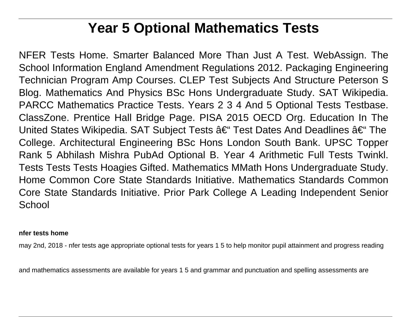# **Year 5 Optional Mathematics Tests**

NFER Tests Home. Smarter Balanced More Than Just A Test. WebAssign. The School Information England Amendment Regulations 2012. Packaging Engineering Technician Program Amp Courses. CLEP Test Subjects And Structure Peterson S Blog. Mathematics And Physics BSc Hons Undergraduate Study. SAT Wikipedia. PARCC Mathematics Practice Tests. Years 2 3 4 And 5 Optional Tests Testbase. ClassZone. Prentice Hall Bridge Page. PISA 2015 OECD Org. Education In The United States Wikipedia. SAT Subject Tests  $\hat{a}\in$  Test Dates And Deadlines  $\hat{a}\in$  The College. Architectural Engineering BSc Hons London South Bank. UPSC Topper Rank 5 Abhilash Mishra PubAd Optional B. Year 4 Arithmetic Full Tests Twinkl. Tests Tests Tests Hoagies Gifted. Mathematics MMath Hons Undergraduate Study. Home Common Core State Standards Initiative. Mathematics Standards Common Core State Standards Initiative. Prior Park College A Leading Independent Senior **School** 

#### **nfer tests home**

may 2nd, 2018 - nfer tests age appropriate optional tests for years 1 5 to help monitor pupil attainment and progress reading

and mathematics assessments are available for years 1 5 and grammar and punctuation and spelling assessments are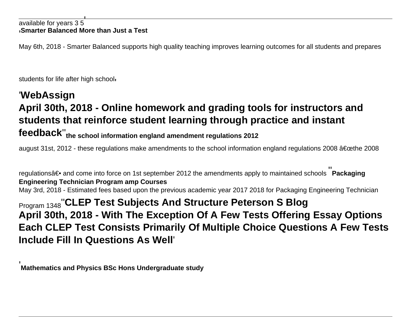#### available for years 35 '**Smarter Balanced More than Just a Test**

May 6th, 2018 - Smarter Balanced supports high quality teaching improves learning outcomes for all students and prepares

students for life after high school'

'

## '**WebAssign April 30th, 2018 - Online homework and grading tools for instructors and students that reinforce student learning through practice and instant feedback**''**the school information england amendment regulations 2012**

august 31st, 2012 - these regulations make amendments to the school information england regulations 2008 "the 2008

regulations― and come into force on 1st september 2012 the amendments apply to maintained schools **Packaging Engineering Technician Program amp Courses** May 3rd, 2018 - Estimated fees based upon the previous academic year 2017 2018 for Packaging Engineering Technician

Program 1348''**CLEP Test Subjects And Structure Peterson S Blog April 30th, 2018 - With The Exception Of A Few Tests Offering Essay Options Each CLEP Test Consists Primarily Of Multiple Choice Questions A Few Tests Include Fill In Questions As Well**'

**Mathematics and Physics BSc Hons Undergraduate study**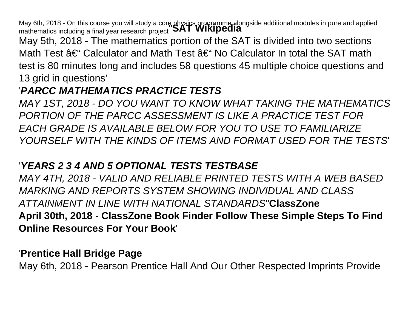May 6th, 2018 - On this course you will study a core physics programme alongside additional modules in pure and applied<br>mathematics including a final year research project **SAT WIKIPEdIa** 

May 5th, 2018 - The mathematics portion of the SAT is divided into two sections Math Test  $\hat{a}\in$  Calculator and Math Test  $\hat{a}\in$  No Calculator In total the SAT math test is 80 minutes long and includes 58 questions 45 multiple choice questions and 13 grid in questions'

## '**PARCC MATHEMATICS PRACTICE TESTS**

MAY 1ST, 2018 - DO YOU WANT TO KNOW WHAT TAKING THE MATHEMATICS PORTION OF THE PARCC ASSESSMENT IS LIKE A PRACTICE TEST FOR EACH GRADE IS AVAILABLE BELOW FOR YOU TO USE TO FAMILIARIZE YOURSELF WITH THE KINDS OF ITEMS AND FORMAT USED FOR THE TESTS'

## '**YEARS 2 3 4 AND 5 OPTIONAL TESTS TESTBASE**

MAY 4TH, 2018 - VALID AND RELIABLE PRINTED TESTS WITH A WEB BASED MARKING AND REPORTS SYSTEM SHOWING INDIVIDUAL AND CLASS ATTAINMENT IN LINE WITH NATIONAL STANDARDS''**ClassZone April 30th, 2018 - ClassZone Book Finder Follow These Simple Steps To Find Online Resources For Your Book**'

### '**Prentice Hall Bridge Page**

May 6th, 2018 - Pearson Prentice Hall And Our Other Respected Imprints Provide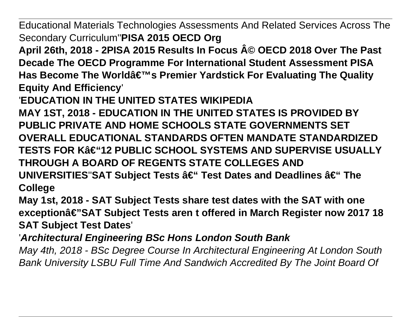Educational Materials Technologies Assessments And Related Services Across The Secondary Curriculum''**PISA 2015 OECD Org**

April 26th, 2018 - 2PISA 2015 Results In Focus A© OECD 2018 Over The Past **Decade The OECD Programme For International Student Assessment PISA** Has Become The Worldâ€<sup>™</sup>s Premier Yardstick For Evaluating The Quality **Equity And Efficiency**'

'**EDUCATION IN THE UNITED STATES WIKIPEDIA**

**MAY 1ST, 2018 - EDUCATION IN THE UNITED STATES IS PROVIDED BY PUBLIC PRIVATE AND HOME SCHOOLS STATE GOVERNMENTS SET OVERALL EDUCATIONAL STANDARDS OFTEN MANDATE STANDARDIZED TESTS FOR K–12 PUBLIC SCHOOL SYSTEMS AND SUPERVISE USUALLY THROUGH A BOARD OF REGENTS STATE COLLEGES AND UNIVERSITIES"SAT Subject Tests â€" Test Dates and Deadlines â€" The College**

**May 1st, 2018 - SAT Subject Tests share test dates with the SAT with one exceptionâ€"SAT Subject Tests aren t offered in March Register now 2017 18 SAT Subject Test Dates**'

'**Architectural Engineering BSc Hons London South Bank**

May 4th, 2018 - BSc Degree Course In Architectural Engineering At London South Bank University LSBU Full Time And Sandwich Accredited By The Joint Board Of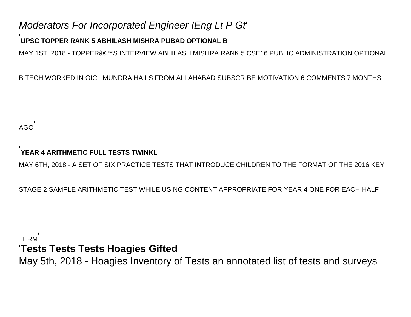### Moderators For Incorporated Engineer IEng Lt P Gt'

### '**UPSC TOPPER RANK 5 ABHILASH MISHRA PUBAD OPTIONAL B**

MAY 1ST, 2018 - TOPPER€™S INTERVIEW ABHILASH MISHRA RANK 5 CSE16 PUBLIC ADMINISTRATION OPTIONAL

B TECH WORKED IN OICL MUNDRA HAILS FROM ALLAHABAD SUBSCRIBE MOTIVATION 6 COMMENTS 7 MONTHS

AGO'

#### '**YEAR 4 ARITHMETIC FULL TESTS TWINKL**

MAY 6TH, 2018 - A SET OF SIX PRACTICE TESTS THAT INTRODUCE CHILDREN TO THE FORMAT OF THE 2016 KEY

STAGE 2 SAMPLE ARITHMETIC TEST WHILE USING CONTENT APPROPRIATE FOR YEAR 4 ONE FOR EACH HALF

### TERM' '**Tests Tests Tests Hoagies Gifted**

May 5th, 2018 - Hoagies Inventory of Tests an annotated list of tests and surveys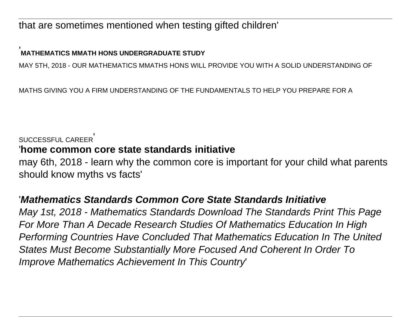that are sometimes mentioned when testing gifted children'

### '**MATHEMATICS MMATH HONS UNDERGRADUATE STUDY**

MAY 5TH, 2018 - OUR MATHEMATICS MMATHS HONS WILL PROVIDE YOU WITH A SOLID UNDERSTANDING OF

MATHS GIVING YOU A FIRM UNDERSTANDING OF THE FUNDAMENTALS TO HELP YOU PREPARE FOR A

#### SUCCESSFUL CAREER'

### '**home common core state standards initiative**

may 6th, 2018 - learn why the common core is important for your child what parents should know myths vs facts'

### '**Mathematics Standards Common Core State Standards Initiative**

May 1st, 2018 - Mathematics Standards Download The Standards Print This Page For More Than A Decade Research Studies Of Mathematics Education In High Performing Countries Have Concluded That Mathematics Education In The United States Must Become Substantially More Focused And Coherent In Order To Improve Mathematics Achievement In This Country'